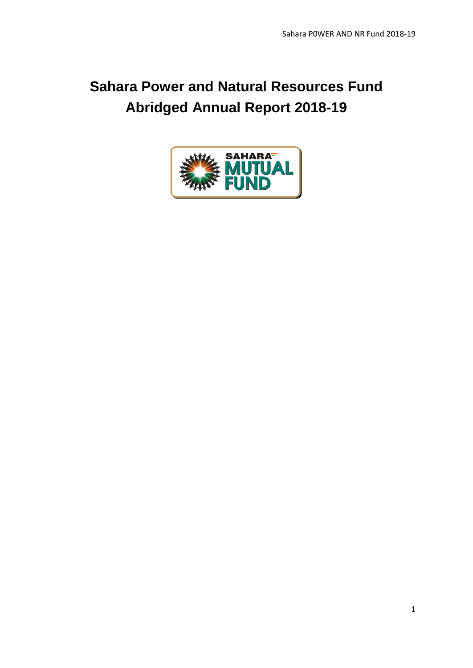# **Sahara Power and Natural Resources Fund Abridged Annual Report 2018-19**

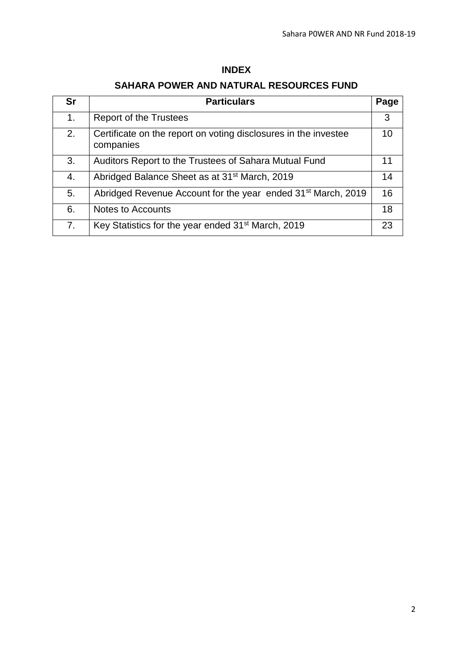# **INDEX**

# **SAHARA POWER AND NATURAL RESOURCES FUND**

| <b>Sr</b> | <b>Particulars</b>                                                           | Page |
|-----------|------------------------------------------------------------------------------|------|
| 1.        | Report of the Trustees                                                       | 3    |
| 2.        | Certificate on the report on voting disclosures in the investee<br>companies | 10   |
| 3.        | Auditors Report to the Trustees of Sahara Mutual Fund                        | 11   |
| 4.        | Abridged Balance Sheet as at 31 <sup>st</sup> March, 2019                    | 14   |
| 5.        | Abridged Revenue Account for the year ended 31 <sup>st</sup> March, 2019     | 16   |
| 6.        | <b>Notes to Accounts</b>                                                     | 18   |
| 7.        | Key Statistics for the year ended 31 <sup>st</sup> March, 2019               | 23   |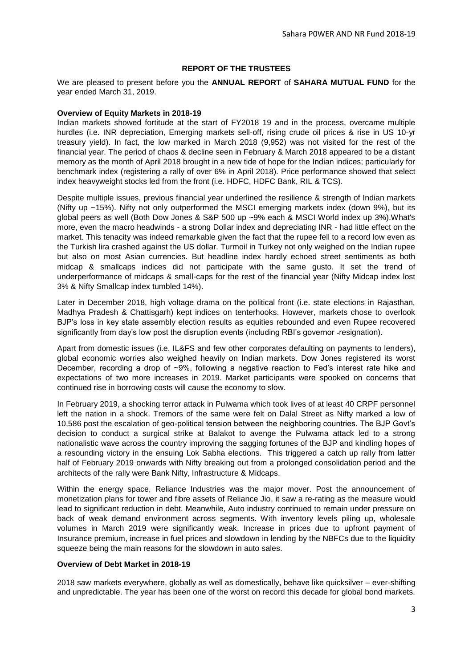# **REPORT OF THE TRUSTEES**

We are pleased to present before you the **ANNUAL REPORT** of **SAHARA MUTUAL FUND** for the year ended March 31, 2019.

### **Overview of Equity Markets in 2018-19**

Indian markets showed fortitude at the start of FY2018 19 and in the process, overcame multiple hurdles (i.e. INR depreciation, Emerging markets sell-off, rising crude oil prices & rise in US 10-yr treasury yield). In fact, the low marked in March 2018 (9,952) was not visited for the rest of the financial year. The period of chaos & decline seen in February & March 2018 appeared to be a distant memory as the month of April 2018 brought in a new tide of hope for the Indian indices; particularly for benchmark index (registering a rally of over 6% in April 2018). Price performance showed that select index heavyweight stocks led from the front (i.e. HDFC, HDFC Bank, RIL & TCS).

Despite multiple issues, previous financial year underlined the resilience & strength of Indian markets (Nifty up ~15%). Nifty not only outperformed the MSCI emerging markets index (down 9%), but its global peers as well (Both Dow Jones & S&P 500 up ~9% each & MSCI World index up 3%).What's more, even the macro headwinds - a strong Dollar index and depreciating INR - had little effect on the market. This tenacity was indeed remarkable given the fact that the rupee fell to a record low even as the Turkish lira crashed against the US dollar. Turmoil in Turkey not only weighed on the Indian rupee but also on most Asian currencies. But headline index hardly echoed street sentiments as both midcap & smallcaps indices did not participate with the same gusto. It set the trend of underperformance of midcaps & small-caps for the rest of the financial year (Nifty Midcap index lost 3% & Nifty Smallcap index tumbled 14%).

Later in December 2018, high voltage drama on the political front (i.e. state elections in Rajasthan, Madhya Pradesh & Chattisgarh) kept indices on tenterhooks. However, markets chose to overlook BJP's loss in key state assembly election results as equities rebounded and even Rupee recovered significantly from day's low post the disruption events (including RBI's governor resignation).

Apart from domestic issues (i.e. IL&FS and few other corporates defaulting on payments to lenders), global economic worries also weighed heavily on Indian markets. Dow Jones registered its worst December, recording a drop of ~9%, following a negative reaction to Fed's interest rate hike and expectations of two more increases in 2019. Market participants were spooked on concerns that continued rise in borrowing costs will cause the economy to slow.

In February 2019, a shocking terror attack in Pulwama which took lives of at least 40 CRPF personnel left the nation in a shock. Tremors of the same were felt on Dalal Street as Nifty marked a low of 10,586 post the escalation of geo-political tension between the neighboring countries. The BJP Govt's decision to conduct a surgical strike at Balakot to avenge the Pulwama attack led to a strong nationalistic wave across the country improving the sagging fortunes of the BJP and kindling hopes of a resounding victory in the ensuing Lok Sabha elections. This triggered a catch up rally from latter half of February 2019 onwards with Nifty breaking out from a prolonged consolidation period and the architects of the rally were Bank Nifty, Infrastructure & Midcaps.

Within the energy space, Reliance Industries was the major mover. Post the announcement of monetization plans for tower and fibre assets of Reliance Jio, it saw a re-rating as the measure would lead to significant reduction in debt. Meanwhile, Auto industry continued to remain under pressure on back of weak demand environment across segments. With inventory levels piling up, wholesale volumes in March 2019 were significantly weak. Increase in prices due to upfront payment of Insurance premium, increase in fuel prices and slowdown in lending by the NBFCs due to the liquidity squeeze being the main reasons for the slowdown in auto sales.

#### **Overview of Debt Market in 2018-19**

2018 saw markets everywhere, globally as well as domestically, behave like quicksilver – ever-shifting and unpredictable. The year has been one of the worst on record this decade for global bond markets.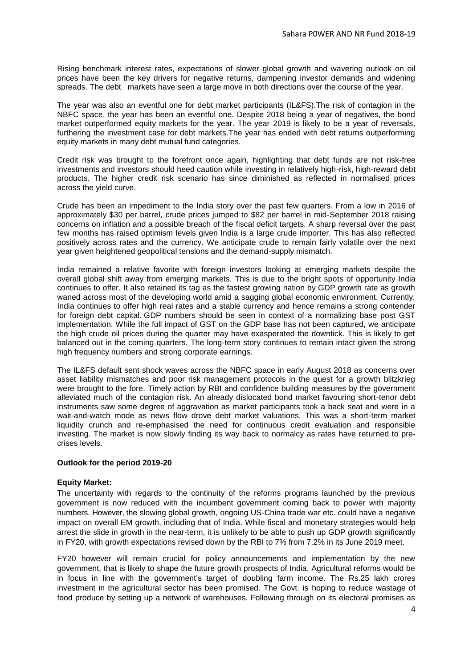Rising benchmark interest rates, expectations of slower global growth and wavering outlook on oil prices have been the key drivers for negative returns, dampening investor demands and widening spreads. The debt markets have seen a large move in both directions over the course of the year.

The year was also an eventful one for debt market participants (IL&FS).The risk of contagion in the NBFC space, the year has been an eventful one. Despite 2018 being a year of negatives, the bond market outperformed equity markets for the year. The year 2019 is likely to be a year of reversals, furthering the investment case for debt markets.The year has ended with debt returns outperforming equity markets in many debt mutual fund categories.

Credit risk was brought to the forefront once again, highlighting that debt funds are not risk-free investments and investors should heed caution while investing in relatively high-risk, high-reward debt products. The higher credit risk scenario has since diminished as reflected in normalised prices across the yield curve.

Crude has been an impediment to the India story over the past few quarters. From a low in 2016 of approximately \$30 per barrel, crude prices jumped to \$82 per barrel in mid-September 2018 raising concerns on inflation and a possible breach of the fiscal deficit targets. A sharp reversal over the past few months has raised optimism levels given India is a large crude importer. This has also reflected positively across rates and the currency. We anticipate crude to remain fairly volatile over the next year given heightened geopolitical tensions and the demand-supply mismatch.

India remained a relative favorite with foreign investors looking at emerging markets despite the overall global shift away from emerging markets. This is due to the bright spots of opportunity India continues to offer. It also retained its tag as the fastest growing nation by GDP growth rate as growth waned across most of the developing world amid a sagging global economic environment. Currently, India continues to offer high real rates and a stable currency and hence remains a strong contender for foreign debt capital. GDP numbers should be seen in context of a normalizing base post GST implementation. While the full impact of GST on the GDP base has not been captured, we anticipate the high crude oil prices during the quarter may have exasperated the downtick. This is likely to get balanced out in the coming quarters. The long-term story continues to remain intact given the strong high frequency numbers and strong corporate earnings.

The IL&FS default sent shock waves across the NBFC space in early August 2018 as concerns over asset liability mismatches and poor risk management protocols in the quest for a growth blitzkrieg were brought to the fore. Timely action by RBI and confidence building measures by the government alleviated much of the contagion risk. An already dislocated bond market favouring short-tenor debt instruments saw some degree of aggravation as market participants took a back seat and were in a wait-and-watch mode as news flow drove debt market valuations. This was a short-term market liquidity crunch and re-emphasised the need for continuous credit evaluation and responsible investing. The market is now slowly finding its way back to normalcy as rates have returned to precrises levels.

#### **Outlook for the period 2019-20**

#### **Equity Market:**

The uncertainty with regards to the continuity of the reforms programs launched by the previous government is now reduced with the incumbent government coming back to power with majority numbers. However, the slowing global growth, ongoing US-China trade war etc. could have a negative impact on overall EM growth, including that of India. While fiscal and monetary strategies would help arrest the slide in growth in the near-term, it is unlikely to be able to push up GDP growth significantly in FY20, with growth expectations revised down by the RBI to 7% from 7.2% in its June 2019 meet.

FY20 however will remain crucial for policy announcements and implementation by the new government, that is likely to shape the future growth prospects of India. Agricultural reforms would be in focus in line with the government's target of doubling farm income. The Rs.25 lakh crores investment in the agricultural sector has been promised. The Govt. is hoping to reduce wastage of food produce by setting up a network of warehouses. Following through on its electoral promises as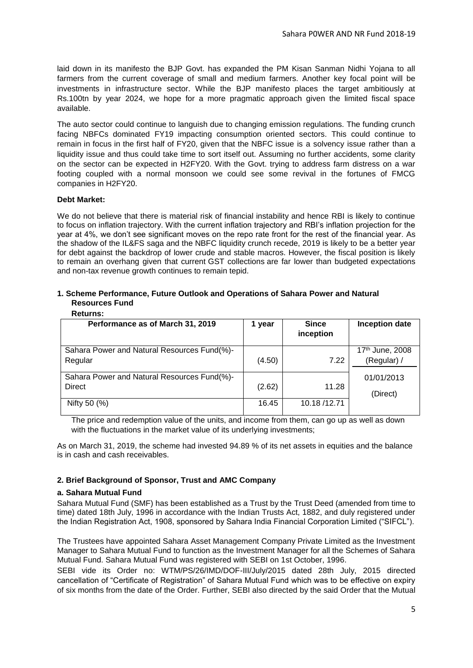laid down in its manifesto the BJP Govt. has expanded the PM Kisan Sanman Nidhi Yojana to all farmers from the current coverage of small and medium farmers. Another key focal point will be investments in infrastructure sector. While the BJP manifesto places the target ambitiously at Rs.100tn by year 2024, we hope for a more pragmatic approach given the limited fiscal space available.

The auto sector could continue to languish due to changing emission regulations. The funding crunch facing NBFCs dominated FY19 impacting consumption oriented sectors. This could continue to remain in focus in the first half of FY20, given that the NBFC issue is a solvency issue rather than a liquidity issue and thus could take time to sort itself out. Assuming no further accidents, some clarity on the sector can be expected in H2FY20. With the Govt. trying to address farm distress on a war footing coupled with a normal monsoon we could see some revival in the fortunes of FMCG companies in H2FY20.

# **Debt Market:**

We do not believe that there is material risk of financial instability and hence RBI is likely to continue to focus on inflation trajectory. With the current inflation trajectory and RBI's inflation projection for the year at 4%, we don't see significant moves on the repo rate front for the rest of the financial year. As the shadow of the [IL&FS saga](https://www.livemint.com/Companies/yXC7sLDRJ5mtLq1GG1K02K/Contagion-no-longer-the-biggest-problem-in-ILFS-saga.html) and the [NBFC liquidity crunch](https://www.livemint.com/Money/JNiNbaPUkthWoJaEvR1DNL/Long-shadow-of-liquidity-crunch-looms-over-NBFCs-in-2019.html) recede, 2019 is likely to be a better year for debt against the backdrop of lower crude and stable macros. However, the fiscal position is likely to remain an overhang given that current [GST collections](https://www.livemint.com/Industry/CMIQX3CzybZNuP8lymBMrK/GST-collection-crosses-Rs-1-trillion-in-October.html) are far lower than budgeted expectations and non-tax revenue growth continues to remain tepid.

# **1. Scheme Performance, Future Outlook and Operations of Sahara Power and Natural Resources Fund**

| <b>Returns:</b> |  |
|-----------------|--|
|                 |  |

| Performance as of March 31, 2019                             | year   | <b>Since</b><br>inception | <b>Inception date</b>          |
|--------------------------------------------------------------|--------|---------------------------|--------------------------------|
| Sahara Power and Natural Resources Fund(%)-<br>Regular       | (4.50) | 7.22                      | 17th June, 2008<br>(Regular) / |
| Sahara Power and Natural Resources Fund(%)-<br><b>Direct</b> | (2.62) | 11.28                     | 01/01/2013<br>(Direct)         |
| Nifty 50 (%)                                                 | 16.45  | 10.18/12.71               |                                |

The price and redemption value of the units, and income from them, can go up as well as down with the fluctuations in the market value of its underlying investments;

As on March 31, 2019, the scheme had invested 94.89 % of its net assets in equities and the balance is in cash and cash receivables.

# **2. Brief Background of Sponsor, Trust and AMC Company**

# **a. Sahara Mutual Fund**

Sahara Mutual Fund (SMF) has been established as a Trust by the Trust Deed (amended from time to time) dated 18th July, 1996 in accordance with the Indian Trusts Act, 1882, and duly registered under the Indian Registration Act, 1908, sponsored by Sahara India Financial Corporation Limited ("SIFCL").

The Trustees have appointed Sahara Asset Management Company Private Limited as the Investment Manager to Sahara Mutual Fund to function as the Investment Manager for all the Schemes of Sahara Mutual Fund. Sahara Mutual Fund was registered with SEBI on 1st October, 1996.

SEBI vide its Order no: WTM/PS/26/IMD/DOF-III/July/2015 dated 28th July, 2015 directed cancellation of "Certificate of Registration" of Sahara Mutual Fund which was to be effective on expiry of six months from the date of the Order. Further, SEBI also directed by the said Order that the Mutual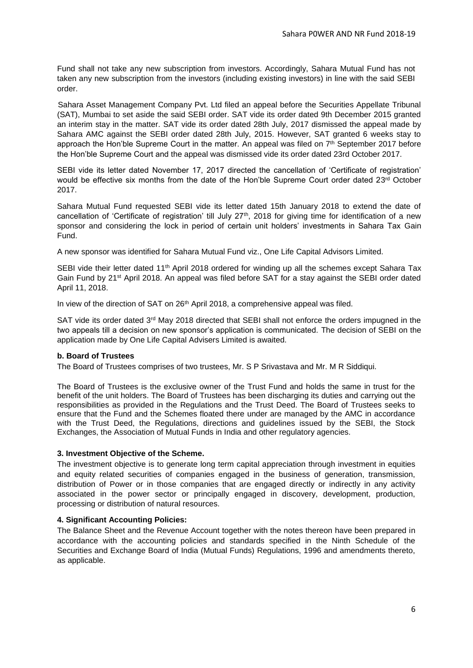Fund shall not take any new subscription from investors. Accordingly, Sahara Mutual Fund has not taken any new subscription from the investors (including existing investors) in line with the said SEBI order.

 Sahara Asset Management Company Pvt. Ltd filed an appeal before the Securities Appellate Tribunal (SAT), Mumbai to set aside the said SEBI order. SAT vide its order dated 9th December 2015 granted an interim stay in the matter. SAT vide its order dated 28th July, 2017 dismissed the appeal made by Sahara AMC against the SEBI order dated 28th July, 2015. However, SAT granted 6 weeks stay to approach the Hon'ble Supreme Court in the matter. An appeal was filed on  $7<sup>th</sup>$  September 2017 before the Hon'ble Supreme Court and the appeal was dismissed vide its order dated 23rd October 2017.

SEBI vide its letter dated November 17, 2017 directed the cancellation of 'Certificate of registration' would be effective six months from the date of the Hon'ble Supreme Court order dated 23<sup>rd</sup> October 2017.

Sahara Mutual Fund requested SEBI vide its letter dated 15th January 2018 to extend the date of cancellation of 'Certificate of registration' till July  $27<sup>th</sup>$ , 2018 for giving time for identification of a new sponsor and considering the lock in period of certain unit holders' investments in Sahara Tax Gain Fund.

A new sponsor was identified for Sahara Mutual Fund viz., One Life Capital Advisors Limited.

SEBI vide their letter dated 11<sup>th</sup> April 2018 ordered for winding up all the schemes except Sahara Tax Gain Fund by 21st April 2018. An appeal was filed before SAT for a stay against the SEBI order dated April 11, 2018.

In view of the direction of SAT on  $26<sup>th</sup>$  April 2018, a comprehensive appeal was filed.

SAT vide its order dated  $3<sup>rd</sup>$  May 2018 directed that SEBI shall not enforce the orders impugned in the two appeals till a decision on new sponsor's application is communicated. The decision of SEBI on the application made by One Life Capital Advisers Limited is awaited.

#### **b. Board of Trustees**

The Board of Trustees comprises of two trustees, Mr. S P Srivastava and Mr. M R Siddiqui.

The Board of Trustees is the exclusive owner of the Trust Fund and holds the same in trust for the benefit of the unit holders. The Board of Trustees has been discharging its duties and carrying out the responsibilities as provided in the Regulations and the Trust Deed. The Board of Trustees seeks to ensure that the Fund and the Schemes floated there under are managed by the AMC in accordance with the Trust Deed, the Regulations, directions and guidelines issued by the SEBI, the Stock Exchanges, the Association of Mutual Funds in India and other regulatory agencies.

# **3. Investment Objective of the Scheme.**

The investment objective is to generate long term capital appreciation through investment in equities and equity related securities of companies engaged in the business of generation, transmission, distribution of Power or in those companies that are engaged directly or indirectly in any activity associated in the power sector or principally engaged in discovery, development, production, processing or distribution of natural resources.

# **4. Significant Accounting Policies:**

The Balance Sheet and the Revenue Account together with the notes thereon have been prepared in accordance with the accounting policies and standards specified in the Ninth Schedule of the Securities and Exchange Board of India (Mutual Funds) Regulations, 1996 and amendments thereto, as applicable.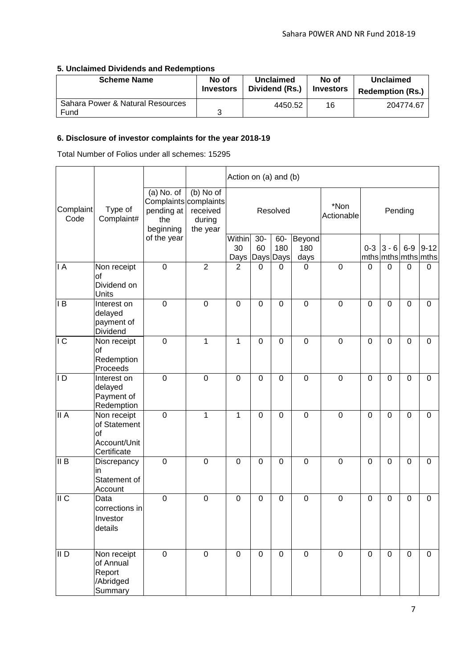# **5. Unclaimed Dividends and Redemptions**

| <b>Scheme Name</b>                       | No of            | Unclaimed      | No of            | Unclaimed               |
|------------------------------------------|------------------|----------------|------------------|-------------------------|
|                                          | <b>Investors</b> | Dividend (Rs.) | <b>Investors</b> | <b>Redemption (Rs.)</b> |
| Sahara Power & Natural Resources<br>Fund | າ                | 4450.52        | 16               | 204774.67               |

# **6. Disclosure of investor complaints for the year 2018-19**

Total Number of Folios under all schemes: 15295

|                   |                                                                  |                                                |                                                                      | Action on (a) and (b)          |                |             |                       |                    |                |                |             |                                 |
|-------------------|------------------------------------------------------------------|------------------------------------------------|----------------------------------------------------------------------|--------------------------------|----------------|-------------|-----------------------|--------------------|----------------|----------------|-------------|---------------------------------|
| Complaint<br>Code | Type of<br>Complaint#                                            | $(a)$ No. of<br>pending at<br>the<br>beginning | (b) No of<br>Complaints complaints<br>received<br>during<br>the year | Resolved                       |                |             |                       | *Non<br>Actionable |                | Pending        |             |                                 |
|                   |                                                                  | of the year                                    |                                                                      | Within<br>30<br>Days Days Days | $30-$<br>60    | 60-<br>180  | Beyond<br>180<br>days |                    | $0 - 3$        | $3 - 6$        | $6-9$       | $9 - 12$<br>mths mths mths mths |
| I A               | Non receipt<br>οf<br>Dividend on<br>Units                        | $\mathbf 0$                                    | $\overline{2}$                                                       | $\overline{2}$                 | 0              | 0           | $\Omega$              | $\mathbf 0$        | 0              | $\mathbf 0$    | $\Omega$    | $\overline{0}$                  |
| l B               | Interest on<br>delayed<br>payment of<br>Dividend                 | $\mathbf 0$                                    | $\mathbf 0$                                                          | $\overline{0}$                 | $\mathbf 0$    | $\mathbf 0$ | $\mathbf 0$           | $\mathbf 0$        | 0              | $\overline{0}$ | $\mathbf 0$ | $\mathbf 0$                     |
| IC                | Non receipt<br>οf<br>Redemption<br>Proceeds                      | $\mathbf 0$                                    | $\mathbf{1}$                                                         | 1                              | $\overline{0}$ | $\mathbf 0$ | $\mathbf 0$           | $\mathbf 0$        | $\mathbf 0$    | $\overline{0}$ | $\mathbf 0$ | $\mathbf 0$                     |
| D                 | Interest on<br>delayed<br>Payment of<br>Redemption               | $\mathbf 0$                                    | $\mathbf 0$                                                          | $\overline{0}$                 | 0              | $\mathbf 0$ | $\mathbf 0$           | $\mathbf 0$        | 0              | $\overline{0}$ | $\mathbf 0$ | $\mathbf 0$                     |
| II A              | Non receipt<br>of Statement<br>of<br>Account/Unit<br>Certificate | $\mathbf 0$                                    | $\mathbf{1}$                                                         | 1                              | $\mathbf 0$    | 0           | $\mathbf 0$           | $\mathbf 0$        | 0              | $\overline{0}$ | 0           | 0                               |
| II B              | Discrepancy<br>in<br>Statement of<br>Account                     | $\mathbf 0$                                    | $\overline{0}$                                                       | $\overline{0}$                 | $\mathbf 0$    | $\mathbf 0$ | $\mathbf 0$           | $\mathbf 0$        | $\overline{0}$ | $\overline{0}$ | $\mathbf 0$ | $\mathbf 0$                     |
| II C              | Data<br>corrections in<br>Investor<br>details                    | $\mathbf 0$                                    | $\mathbf 0$                                                          | $\mathbf 0$                    | $\mathbf 0$    | 0           | $\mathbf 0$           | $\mathbf 0$        | $\mathbf 0$    | $\mathbf 0$    | 0           | $\mathbf 0$                     |
| $\overline{II}$   | Non receipt<br>of Annual<br>Report<br>/Abridged<br>Summary       | $\mathbf 0$                                    | $\mathbf 0$                                                          | $\mathbf 0$                    | $\mathbf 0$    | $\mathbf 0$ | $\mathbf 0$           | $\mathbf 0$        | $\mathbf 0$    | $\mathbf 0$    | $\mathbf 0$ | $\mathbf 0$                     |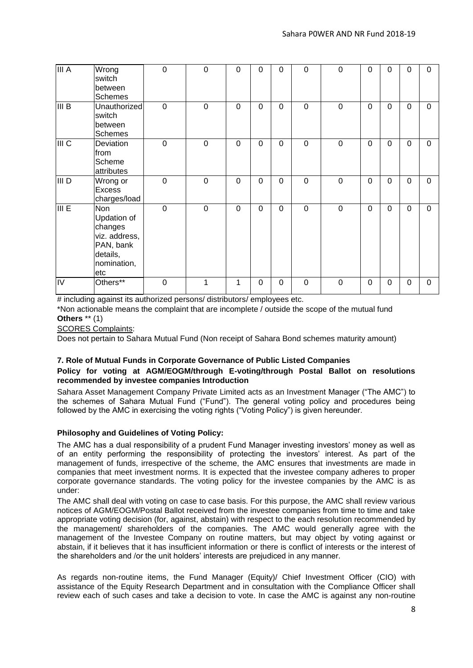| III A              | Wrong<br>switch<br>between<br><b>Schemes</b>                                                                | $\overline{0}$ | $\overline{0}$ | $\mathbf 0$    | 0           | $\mathbf 0$ | $\overline{0}$ | $\mathbf 0$    | $\overline{0}$ | 0              | $\Omega$    | $\overline{0}$ |
|--------------------|-------------------------------------------------------------------------------------------------------------|----------------|----------------|----------------|-------------|-------------|----------------|----------------|----------------|----------------|-------------|----------------|
| $\overline{III}$ B | Unauthorized<br>switch<br>between<br><b>Schemes</b>                                                         | $\mathbf 0$    | $\mathbf 0$    | $\mathbf 0$    | 0           | $\mathbf 0$ | $\overline{0}$ | $\mathbf 0$    | $\overline{0}$ | $\overline{0}$ | $\mathbf 0$ | $\mathbf 0$    |
| III C              | Deviation<br>from<br>Scheme<br>attributes                                                                   | $\mathbf 0$    | $\overline{0}$ | $\mathbf 0$    | $\mathbf 0$ | $\mathbf 0$ | $\overline{0}$ | $\mathbf 0$    | $\overline{0}$ | 0              | $\mathbf 0$ | $\mathbf 0$    |
| III D              | Wrong or<br><b>Excess</b><br>charges/load                                                                   | $\overline{0}$ | $\overline{0}$ | $\mathbf 0$    | $\mathbf 0$ | $\mathbf 0$ | $\mathbf 0$    | $\overline{0}$ | $\overline{0}$ | $\overline{0}$ | $\Omega$    | $\mathbf 0$    |
| III E              | <b>Non</b><br><b>Updation of</b><br>changes<br>viz. address,<br>PAN, bank<br>details,<br>nomination,<br>etc | $\overline{0}$ | $\overline{0}$ | $\overline{0}$ | 0           | $\mathbf 0$ | $\overline{0}$ | $\overline{0}$ | $\overline{0}$ | 0              | $\Omega$    | $\mathbf 0$    |
| $\overline{N}$     | Others**                                                                                                    | $\overline{0}$ | 1              | 1              | $\Omega$    | 0           | $\overline{0}$ | $\overline{0}$ | $\overline{0}$ | $\Omega$       | $\Omega$    | $\overline{0}$ |

# including against its authorized persons/ distributors/ employees etc.

\*Non actionable means the complaint that are incomplete / outside the scope of the mutual fund **Others** \*\* (1)

SCORES Complaints:

Does not pertain to Sahara Mutual Fund (Non receipt of Sahara Bond schemes maturity amount)

# **7. Role of Mutual Funds in Corporate Governance of Public Listed Companies**

# **Policy for voting at AGM/EOGM/through E-voting/through Postal Ballot on resolutions recommended by investee companies Introduction**

Sahara Asset Management Company Private Limited acts as an Investment Manager ("The AMC") to the schemes of Sahara Mutual Fund ("Fund"). The general voting policy and procedures being followed by the AMC in exercising the voting rights ("Voting Policy") is given hereunder.

# **Philosophy and Guidelines of Voting Policy:**

The AMC has a dual responsibility of a prudent Fund Manager investing investors' money as well as of an entity performing the responsibility of protecting the investors' interest. As part of the management of funds, irrespective of the scheme, the AMC ensures that investments are made in companies that meet investment norms. It is expected that the investee company adheres to proper corporate governance standards. The voting policy for the investee companies by the AMC is as under:

The AMC shall deal with voting on case to case basis. For this purpose, the AMC shall review various notices of AGM/EOGM/Postal Ballot received from the investee companies from time to time and take appropriate voting decision (for, against, abstain) with respect to the each resolution recommended by the management/ shareholders of the companies. The AMC would generally agree with the management of the Investee Company on routine matters, but may object by voting against or abstain, if it believes that it has insufficient information or there is conflict of interests or the interest of the shareholders and /or the unit holders' interests are prejudiced in any manner.

As regards non-routine items, the Fund Manager (Equity)/ Chief Investment Officer (CIO) with assistance of the Equity Research Department and in consultation with the Compliance Officer shall review each of such cases and take a decision to vote. In case the AMC is against any non-routine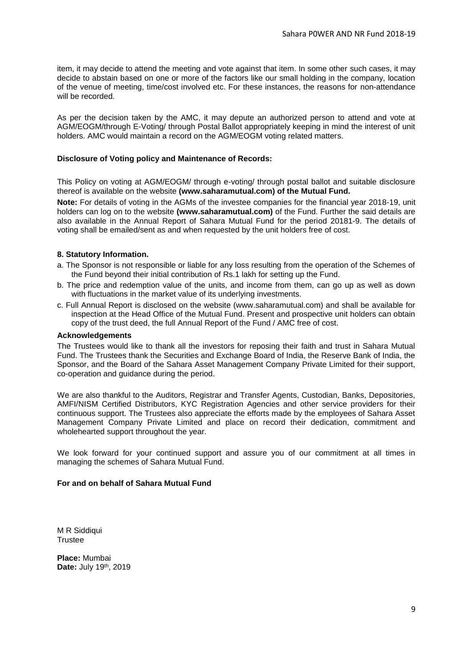item, it may decide to attend the meeting and vote against that item. In some other such cases, it may decide to abstain based on one or more of the factors like our small holding in the company, location of the venue of meeting, time/cost involved etc. For these instances, the reasons for non-attendance will be recorded.

As per the decision taken by the AMC, it may depute an authorized person to attend and vote at AGM/EOGM/through E-Voting/ through Postal Ballot appropriately keeping in mind the interest of unit holders. AMC would maintain a record on the AGM/EOGM voting related matters.

### **Disclosure of Voting policy and Maintenance of Records:**

This Policy on voting at AGM/EOGM/ through e-voting/ through postal ballot and suitable disclosure thereof is available on the website **(www.saharamutual.com) of the Mutual Fund.**

**Note:** For details of voting in the AGMs of the investee companies for the financial year 2018-19, unit holders can log on to the website **(www.saharamutual.com)** of the Fund. Further the said details are also available in the Annual Report of Sahara Mutual Fund for the period 20181-9. The details of voting shall be emailed/sent as and when requested by the unit holders free of cost.

#### **8. Statutory Information.**

- a. The Sponsor is not responsible or liable for any loss resulting from the operation of the Schemes of the Fund beyond their initial contribution of Rs.1 lakh for setting up the Fund.
- b. The price and redemption value of the units, and income from them, can go up as well as down with fluctuations in the market value of its underlying investments.
- c. Full Annual Report is disclosed on the website (www.saharamutual.com) and shall be available for inspection at the Head Office of the Mutual Fund. Present and prospective unit holders can obtain copy of the trust deed, the full Annual Report of the Fund / AMC free of cost.

#### **Acknowledgements**

The Trustees would like to thank all the investors for reposing their faith and trust in Sahara Mutual Fund. The Trustees thank the Securities and Exchange Board of India, the Reserve Bank of India, the Sponsor, and the Board of the Sahara Asset Management Company Private Limited for their support, co-operation and guidance during the period.

We are also thankful to the Auditors, Registrar and Transfer Agents, Custodian, Banks, Depositories, AMFI/NISM Certified Distributors, KYC Registration Agencies and other service providers for their continuous support. The Trustees also appreciate the efforts made by the employees of Sahara Asset Management Company Private Limited and place on record their dedication, commitment and wholehearted support throughout the year.

We look forward for your continued support and assure you of our commitment at all times in managing the schemes of Sahara Mutual Fund.

#### **For and on behalf of Sahara Mutual Fund**

M R Siddiqui **Trustee** 

**Place:** Mumbai Date: July 19<sup>th</sup>, 2019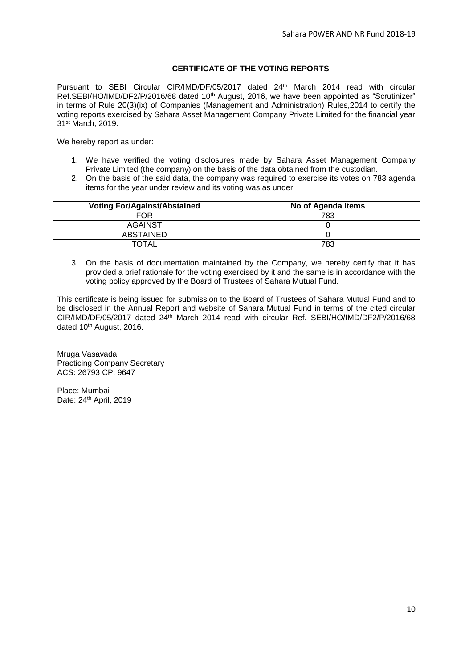# **CERTIFICATE OF THE VOTING REPORTS**

Pursuant to SEBI Circular CIR/IMD/DF/05/2017 dated 24th March 2014 read with circular Ref.SEBI/HO/IMD/DF2/P/2016/68 dated 10<sup>th</sup> August, 2016, we have been appointed as "Scrutinizer" in terms of Rule 20(3)(ix) of Companies (Management and Administration) Rules,2014 to certify the voting reports exercised by Sahara Asset Management Company Private Limited for the financial year 31st March, 2019.

We hereby report as under:

- 1. We have verified the voting disclosures made by Sahara Asset Management Company Private Limited (the company) on the basis of the data obtained from the custodian.
- 2. On the basis of the said data, the company was required to exercise its votes on 783 agenda items for the year under review and its voting was as under.

| <b>Voting For/Against/Abstained</b> | No of Agenda Items |
|-------------------------------------|--------------------|
| FOR                                 | 783                |
| AGAINST                             |                    |
| ABSTAINED                           |                    |
| <b>TOTAL</b>                        | 783                |

3. On the basis of documentation maintained by the Company, we hereby certify that it has provided a brief rationale for the voting exercised by it and the same is in accordance with the voting policy approved by the Board of Trustees of Sahara Mutual Fund.

This certificate is being issued for submission to the Board of Trustees of Sahara Mutual Fund and to be disclosed in the Annual Report and website of Sahara Mutual Fund in terms of the cited circular CIR/IMD/DF/05/2017 dated 24th March 2014 read with circular Ref. SEBI/HO/IMD/DF2/P/2016/68 dated 10<sup>th</sup> August, 2016.

Mruga Vasavada Practicing Company Secretary ACS: 26793 CP: 9647

Place: Mumbai Date: 24<sup>th</sup> April, 2019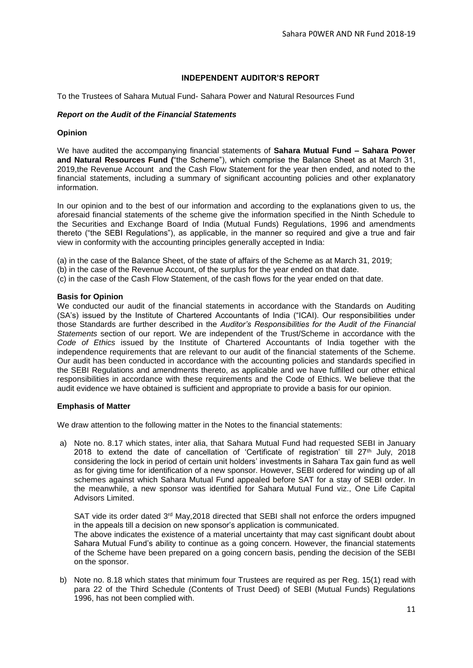# **INDEPENDENT AUDITOR'S REPORT**

To the Trustees of Sahara Mutual Fund- Sahara Power and Natural Resources Fund

### *Report on the Audit of the Financial Statements*

#### **Opinion**

We have audited the accompanying financial statements of **Sahara Mutual Fund – Sahara Power and Natural Resources Fund (**"the Scheme"), which comprise the Balance Sheet as at March 31, 2019,the Revenue Account and the Cash Flow Statement for the year then ended, and noted to the financial statements, including a summary of significant accounting policies and other explanatory information.

In our opinion and to the best of our information and according to the explanations given to us, the aforesaid financial statements of the scheme give the information specified in the Ninth Schedule to the Securities and Exchange Board of India (Mutual Funds) Regulations, 1996 and amendments thereto ("the SEBI Regulations"), as applicable, in the manner so required and give a true and fair view in conformity with the accounting principles generally accepted in India:

- (a) in the case of the Balance Sheet, of the state of affairs of the Scheme as at March 31, 2019;
- (b) in the case of the Revenue Account, of the surplus for the year ended on that date.
- (c) in the case of the Cash Flow Statement, of the cash flows for the year ended on that date.

#### **Basis for Opinion**

We conducted our audit of the financial statements in accordance with the Standards on Auditing (SA's) issued by the Institute of Chartered Accountants of India ("ICAI). Our responsibilities under those Standards are further described in the *Auditor's Responsibilities for the Audit of the Financial Statements* section of our report. We are independent of the Trust/Scheme in accordance with the *Code of Ethics* issued by the Institute of Chartered Accountants of India together with the independence requirements that are relevant to our audit of the financial statements of the Scheme. Our audit has been conducted in accordance with the accounting policies and standards specified in the SEBI Regulations and amendments thereto, as applicable and we have fulfilled our other ethical responsibilities in accordance with these requirements and the Code of Ethics. We believe that the audit evidence we have obtained is sufficient and appropriate to provide a basis for our opinion.

#### **Emphasis of Matter**

We draw attention to the following matter in the Notes to the financial statements:

a) Note no. 8.17 which states, inter alia, that Sahara Mutual Fund had requested SEBI in January 2018 to extend the date of cancellation of 'Certificate of registration' till  $27<sup>th</sup>$  July, 2018 considering the lock in period of certain unit holders' investments in Sahara Tax gain fund as well as for giving time for identification of a new sponsor. However, SEBI ordered for winding up of all schemes against which Sahara Mutual Fund appealed before SAT for a stay of SEBI order. In the meanwhile, a new sponsor was identified for Sahara Mutual Fund viz., One Life Capital Advisors Limited.

SAT vide its order dated  $3<sup>rd</sup>$  May, 2018 directed that SEBI shall not enforce the orders impugned in the appeals till a decision on new sponsor's application is communicated. The above indicates the existence of a material uncertainty that may cast significant doubt about Sahara Mutual Fund's ability to continue as a going concern. However, the financial statements of the Scheme have been prepared on a going concern basis, pending the decision of the SEBI on the sponsor.

b) Note no. 8.18 which states that minimum four Trustees are required as per Reg. 15(1) read with para 22 of the Third Schedule (Contents of Trust Deed) of SEBI (Mutual Funds) Regulations 1996, has not been complied with.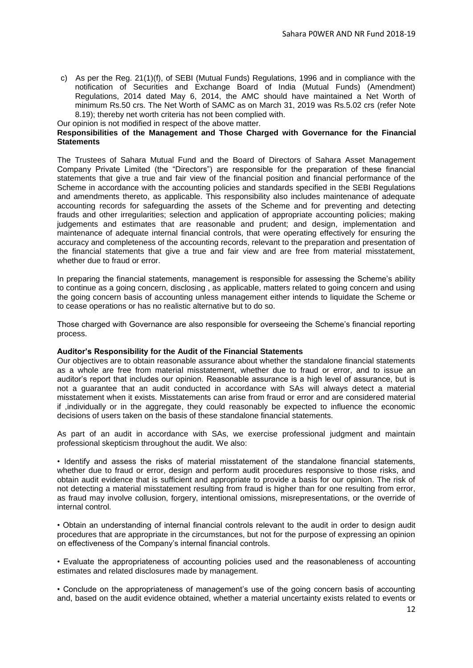c) As per the Reg. 21(1)(f), of SEBI (Mutual Funds) Regulations, 1996 and in compliance with the notification of Securities and Exchange Board of India (Mutual Funds) (Amendment) Regulations, 2014 dated May 6, 2014, the AMC should have maintained a Net Worth of minimum Rs.50 crs. The Net Worth of SAMC as on March 31, 2019 was Rs.5.02 crs (refer Note 8.19); thereby net worth criteria has not been complied with.

Our opinion is not modified in respect of the above matter.

### **Responsibilities of the Management and Those Charged with Governance for the Financial Statements**

The Trustees of Sahara Mutual Fund and the Board of Directors of Sahara Asset Management Company Private Limited (the "Directors") are responsible for the preparation of these financial statements that give a true and fair view of the financial position and financial performance of the Scheme in accordance with the accounting policies and standards specified in the SEBI Regulations and amendments thereto, as applicable. This responsibility also includes maintenance of adequate accounting records for safeguarding the assets of the Scheme and for preventing and detecting frauds and other irregularities; selection and application of appropriate accounting policies; making judgements and estimates that are reasonable and prudent; and design, implementation and maintenance of adequate internal financial controls, that were operating effectively for ensuring the accuracy and completeness of the accounting records, relevant to the preparation and presentation of the financial statements that give a true and fair view and are free from material misstatement, whether due to fraud or error.

In preparing the financial statements, management is responsible for assessing the Scheme's ability to continue as a going concern, disclosing , as applicable, matters related to going concern and using the going concern basis of accounting unless management either intends to liquidate the Scheme or to cease operations or has no realistic alternative but to do so.

Those charged with Governance are also responsible for overseeing the Scheme's financial reporting process.

#### **Auditor's Responsibility for the Audit of the Financial Statements**

Our objectives are to obtain reasonable assurance about whether the standalone financial statements as a whole are free from material misstatement, whether due to fraud or error, and to issue an auditor's report that includes our opinion. Reasonable assurance is a high level of assurance, but is not a guarantee that an audit conducted in accordance with SAs will always detect a material misstatement when it exists. Misstatements can arise from fraud or error and are considered material if ,individually or in the aggregate, they could reasonably be expected to influence the economic decisions of users taken on the basis of these standalone financial statements.

As part of an audit in accordance with SAs, we exercise professional judgment and maintain professional skepticism throughout the audit. We also:

• Identify and assess the risks of material misstatement of the standalone financial statements, whether due to fraud or error, design and perform audit procedures responsive to those risks, and obtain audit evidence that is sufficient and appropriate to provide a basis for our opinion. The risk of not detecting a material misstatement resulting from fraud is higher than for one resulting from error, as fraud may involve collusion, forgery, intentional omissions, misrepresentations, or the override of internal control.

• Obtain an understanding of internal financial controls relevant to the audit in order to design audit procedures that are appropriate in the circumstances, but not for the purpose of expressing an opinion on effectiveness of the Company's internal financial controls.

• Evaluate the appropriateness of accounting policies used and the reasonableness of accounting estimates and related disclosures made by management.

• Conclude on the appropriateness of management's use of the going concern basis of accounting and, based on the audit evidence obtained, whether a material uncertainty exists related to events or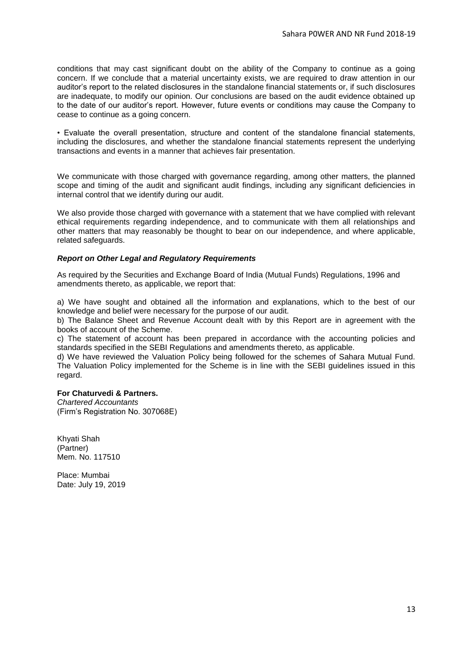conditions that may cast significant doubt on the ability of the Company to continue as a going concern. If we conclude that a material uncertainty exists, we are required to draw attention in our auditor's report to the related disclosures in the standalone financial statements or, if such disclosures are inadequate, to modify our opinion. Our conclusions are based on the audit evidence obtained up to the date of our auditor's report. However, future events or conditions may cause the Company to cease to continue as a going concern.

• Evaluate the overall presentation, structure and content of the standalone financial statements, including the disclosures, and whether the standalone financial statements represent the underlying transactions and events in a manner that achieves fair presentation.

We communicate with those charged with governance regarding, among other matters, the planned scope and timing of the audit and significant audit findings, including any significant deficiencies in internal control that we identify during our audit.

We also provide those charged with governance with a statement that we have complied with relevant ethical requirements regarding independence, and to communicate with them all relationships and other matters that may reasonably be thought to bear on our independence, and where applicable, related safeguards.

#### *Report on Other Legal and Regulatory Requirements*

As required by the Securities and Exchange Board of India (Mutual Funds) Regulations, 1996 and amendments thereto, as applicable, we report that:

a) We have sought and obtained all the information and explanations, which to the best of our knowledge and belief were necessary for the purpose of our audit.

b) The Balance Sheet and Revenue Account dealt with by this Report are in agreement with the books of account of the Scheme.

c) The statement of account has been prepared in accordance with the accounting policies and standards specified in the SEBI Regulations and amendments thereto, as applicable.

d) We have reviewed the Valuation Policy being followed for the schemes of Sahara Mutual Fund. The Valuation Policy implemented for the Scheme is in line with the SEBI guidelines issued in this regard.

#### **For Chaturvedi & Partners.**

*Chartered Accountants* (Firm's Registration No. 307068E)

Khyati Shah (Partner) Mem. No. 117510

Place: Mumbai Date: July 19, 2019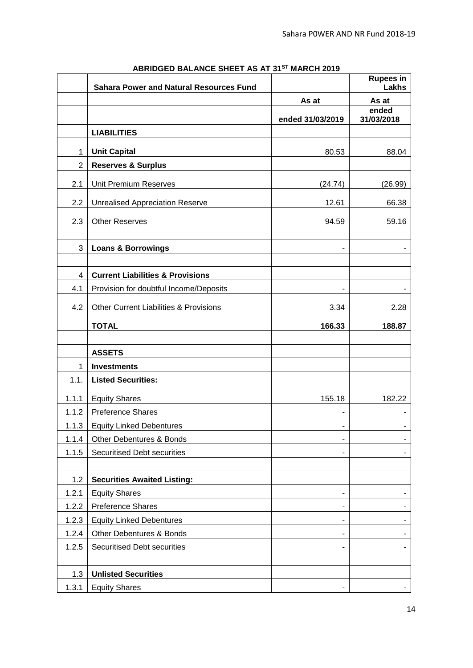|                | <b>Sahara Power and Natural Resources Fund</b>    |                              | <b>Rupees in</b><br>Lakhs |
|----------------|---------------------------------------------------|------------------------------|---------------------------|
|                |                                                   | As at                        | As at                     |
|                |                                                   | ended 31/03/2019             | ended<br>31/03/2018       |
|                | <b>LIABILITIES</b>                                |                              |                           |
|                |                                                   |                              |                           |
| 1              | <b>Unit Capital</b>                               | 80.53                        | 88.04                     |
| $\overline{2}$ | <b>Reserves &amp; Surplus</b>                     |                              |                           |
| 2.1            | Unit Premium Reserves                             | (24.74)                      | (26.99)                   |
| 2.2            | <b>Unrealised Appreciation Reserve</b>            | 12.61                        | 66.38                     |
| 2.3            | <b>Other Reserves</b>                             | 94.59                        | 59.16                     |
|                |                                                   |                              |                           |
| 3              | <b>Loans &amp; Borrowings</b>                     |                              |                           |
|                |                                                   |                              |                           |
| $\overline{4}$ | <b>Current Liabilities &amp; Provisions</b>       |                              |                           |
| 4.1            | Provision for doubtful Income/Deposits            |                              |                           |
| 4.2            | <b>Other Current Liabilities &amp; Provisions</b> | 3.34                         | 2.28                      |
|                | <b>TOTAL</b>                                      | 166.33                       | 188.87                    |
|                |                                                   |                              |                           |
|                | <b>ASSETS</b>                                     |                              |                           |
| 1              | <b>Investments</b>                                |                              |                           |
| 1.1.           | <b>Listed Securities:</b>                         |                              |                           |
| 1.1.1          | <b>Equity Shares</b>                              | 155.18                       | 182.22                    |
| 1.1.2          | <b>Preference Shares</b>                          |                              |                           |
| 1.1.3          | <b>Equity Linked Debentures</b>                   |                              |                           |
| 1.1.4          | <b>Other Debentures &amp; Bonds</b>               |                              |                           |
| 1.1.5          | <b>Securitised Debt securities</b>                |                              |                           |
|                |                                                   |                              |                           |
| 1.2            | <b>Securities Awaited Listing:</b>                |                              |                           |
| 1.2.1          | <b>Equity Shares</b>                              |                              |                           |
| 1.2.2          | <b>Preference Shares</b>                          | $\overline{a}$               |                           |
| 1.2.3          | <b>Equity Linked Debentures</b>                   | ٠                            |                           |
| 1.2.4          | Other Debentures & Bonds                          | $\qquad \qquad \blacksquare$ |                           |
| 1.2.5          | <b>Securitised Debt securities</b>                |                              |                           |
|                |                                                   |                              |                           |
| 1.3            | <b>Unlisted Securities</b>                        |                              |                           |
| 1.3.1          | <b>Equity Shares</b>                              |                              |                           |

# **ABRIDGED BALANCE SHEET AS AT 31ST MARCH 2019**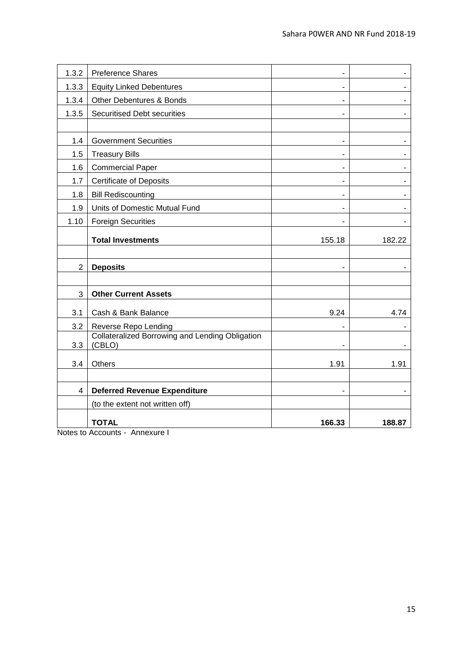| 1.3.2          | <b>Preference Shares</b>                        | $\blacksquare$           |        |
|----------------|-------------------------------------------------|--------------------------|--------|
| 1.3.3          | <b>Equity Linked Debentures</b>                 | $\overline{\phantom{a}}$ |        |
| 1.3.4          | <b>Other Debentures &amp; Bonds</b>             | $\blacksquare$           |        |
| 1.3.5          | <b>Securitised Debt securities</b>              | ÷,                       |        |
|                |                                                 |                          |        |
| 1.4            | <b>Government Securities</b>                    | $\blacksquare$           |        |
| 1.5            | <b>Treasury Bills</b>                           | $\overline{\phantom{a}}$ |        |
| 1.6            | <b>Commercial Paper</b>                         | $\overline{a}$           |        |
| 1.7            | <b>Certificate of Deposits</b>                  | $\blacksquare$           |        |
| 1.8            | <b>Bill Rediscounting</b>                       | $\blacksquare$           |        |
| 1.9            | Units of Domestic Mutual Fund                   | $\overline{\phantom{a}}$ |        |
| 1.10           | <b>Foreign Securities</b>                       |                          |        |
|                | <b>Total Investments</b>                        | 155.18                   | 182.22 |
|                |                                                 |                          |        |
| $\overline{2}$ | <b>Deposits</b>                                 |                          |        |
|                |                                                 |                          |        |
| 3              | <b>Other Current Assets</b>                     |                          |        |
| 3.1            | Cash & Bank Balance                             | 9.24                     | 4.74   |
| 3.2            | Reverse Repo Lending                            |                          |        |
|                | Collateralized Borrowing and Lending Obligation |                          |        |
| 3.3            | (CBLO)                                          | $\blacksquare$           |        |
| 3.4            | <b>Others</b>                                   | 1.91                     | 1.91   |
|                |                                                 |                          |        |
| $\overline{4}$ | <b>Deferred Revenue Expenditure</b>             |                          |        |
|                | (to the extent not written off)                 |                          |        |
|                | <b>TOTAL</b>                                    | 166.33                   | 188.87 |

Notes to Accounts - Annexure I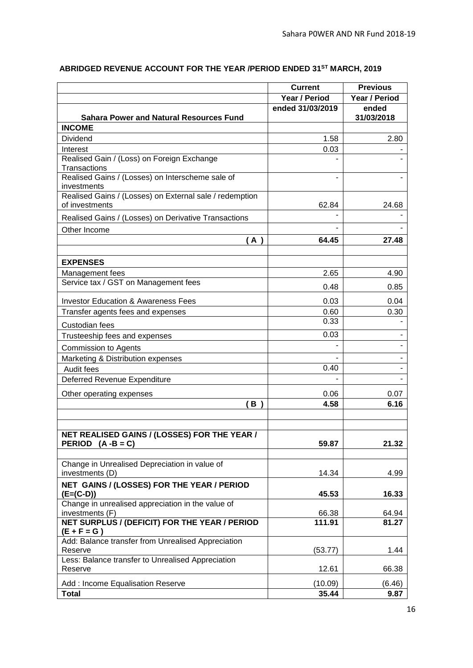|                                                                       | <b>Current</b>   | <b>Previous</b> |
|-----------------------------------------------------------------------|------------------|-----------------|
|                                                                       | Year / Period    | Year / Period   |
|                                                                       | ended 31/03/2019 | ended           |
| <b>Sahara Power and Natural Resources Fund</b>                        |                  | 31/03/2018      |
| <b>INCOME</b>                                                         |                  |                 |
| <b>Dividend</b>                                                       | 1.58             | 2.80            |
| Interest                                                              | 0.03             |                 |
| Realised Gain / (Loss) on Foreign Exchange                            |                  |                 |
| Transactions                                                          |                  |                 |
| Realised Gains / (Losses) on Interscheme sale of<br>investments       |                  |                 |
| Realised Gains / (Losses) on External sale / redemption               |                  |                 |
| of investments                                                        | 62.84            | 24.68           |
| Realised Gains / (Losses) on Derivative Transactions                  |                  |                 |
| Other Income                                                          |                  |                 |
| (A)                                                                   | 64.45            | 27.48           |
| <b>EXPENSES</b>                                                       |                  |                 |
| Management fees                                                       | 2.65             | 4.90            |
| Service tax / GST on Management fees                                  |                  |                 |
|                                                                       | 0.48             | 0.85            |
| <b>Investor Education &amp; Awareness Fees</b>                        | 0.03             | 0.04            |
| Transfer agents fees and expenses                                     | 0.60             | 0.30            |
| Custodian fees                                                        | 0.33             |                 |
| Trusteeship fees and expenses                                         | 0.03             |                 |
| <b>Commission to Agents</b>                                           |                  |                 |
| Marketing & Distribution expenses                                     |                  |                 |
| Audit fees                                                            | 0.40             |                 |
| Deferred Revenue Expenditure                                          |                  |                 |
| Other operating expenses                                              | 0.06             | 0.07            |
| B                                                                     | 4.58             | 6.16            |
|                                                                       |                  |                 |
| NET REALISED GAINS / (LOSSES) FOR THE YEAR /                          |                  |                 |
| PERIOD $(A - B = C)$                                                  | 59.87            | 21.32           |
|                                                                       |                  |                 |
| Change in Unrealised Depreciation in value of<br>investments (D)      | 14.34            | 4.99            |
|                                                                       |                  |                 |
| NET GAINS / (LOSSES) FOR THE YEAR / PERIOD<br>$(E=(C-D))$             | 45.53            | 16.33           |
| Change in unrealised appreciation in the value of                     |                  |                 |
| investments (F)                                                       | 66.38            | 64.94           |
| <b>NET SURPLUS / (DEFICIT) FOR THE YEAR / PERIOD</b><br>$(E + F = G)$ | 111.91           | 81.27           |
| Add: Balance transfer from Unrealised Appreciation                    |                  |                 |
| Reserve                                                               | (53.77)          | 1.44            |
| Less: Balance transfer to Unrealised Appreciation                     |                  |                 |
| Reserve                                                               | 12.61            | 66.38           |
| Add: Income Equalisation Reserve                                      | (10.09)          | (6.46)          |
| <b>Total</b>                                                          | 35.44            | 9.87            |

# **ABRIDGED REVENUE ACCOUNT FOR THE YEAR /PERIOD ENDED 31ST MARCH, 2019**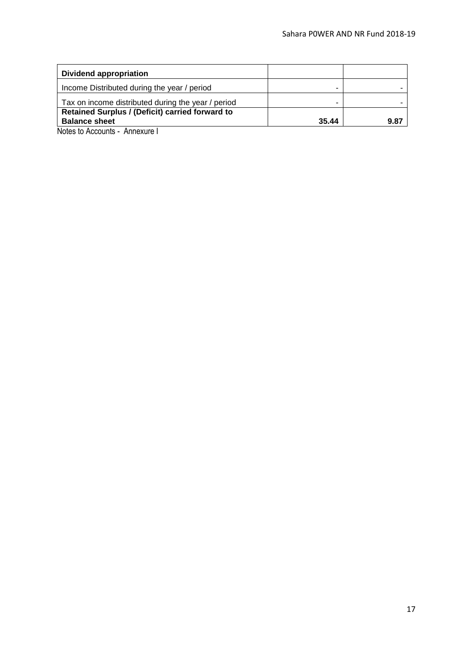| Dividend appropriation                             |       |      |
|----------------------------------------------------|-------|------|
| Income Distributed during the year / period        |       |      |
| Tax on income distributed during the year / period |       |      |
| Retained Surplus / (Deficit) carried forward to    |       |      |
| <b>Balance sheet</b>                               | 35.44 | 9.87 |
| Notes to Accounts - Annexure I                     |       |      |

17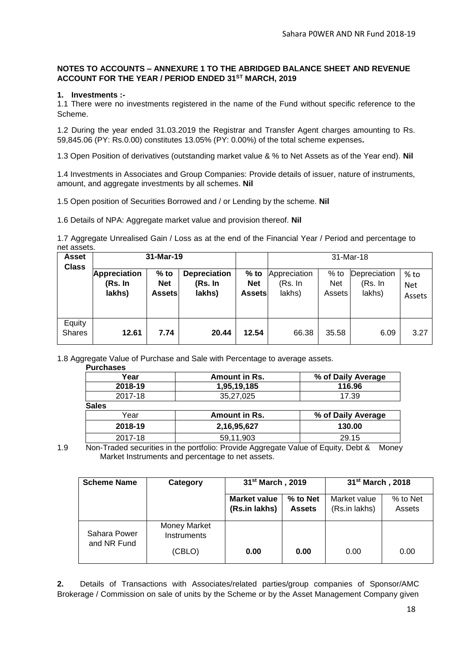# **NOTES TO ACCOUNTS – ANNEXURE 1 TO THE ABRIDGED BALANCE SHEET AND REVENUE ACCOUNT FOR THE YEAR / PERIOD ENDED 31ST MARCH, 2019**

#### **1. Investments :-**

1.1 There were no investments registered in the name of the Fund without specific reference to the Scheme.

1.2 During the year ended 31.03.2019 the Registrar and Transfer Agent charges amounting to Rs. 59,845.06 (PY: Rs.0.00) constitutes 13.05% (PY: 0.00%) of the total scheme expenses**.**

1.3 Open Position of derivatives (outstanding market value & % to Net Assets as of the Year end). **Nil**

1.4 Investments in Associates and Group Companies: Provide details of issuer, nature of instruments, amount, and aggregate investments by all schemes. **Nil**

1.5 Open position of Securities Borrowed and / or Lending by the scheme. **Nil**

1.6 Details of NPA: Aggregate market value and provision thereof. **Nil**

1.7 Aggregate Unrealised Gain / Loss as at the end of the Financial Year / Period and percentage to net assets.

| <b>Asset</b><br><b>Class</b> | 31-Mar-19                                |                                       |                                          |                                       | 31-Mar-18                         |                                |                                   |                              |  |
|------------------------------|------------------------------------------|---------------------------------------|------------------------------------------|---------------------------------------|-----------------------------------|--------------------------------|-----------------------------------|------------------------------|--|
|                              | <b>Appreciation</b><br>(Rs. In<br>lakhs) | $%$ to<br><b>Net</b><br><b>Assets</b> | <b>Depreciation</b><br>(Rs. In<br>lakhs) | $%$ to<br><b>Net</b><br><b>Assets</b> | Appreciation<br>(Rs. In<br>lakhs) | $%$ to<br><b>Net</b><br>Assets | Depreciation<br>(Rs. In<br>lakhs) | % to<br><b>Net</b><br>Assets |  |
| Equity<br><b>Shares</b>      | 12.61                                    | 7.74                                  | 20.44                                    | 12.54                                 | 66.38                             | 35.58                          | 6.09                              | 3.27                         |  |

1.8 Aggregate Value of Purchase and Sale with Percentage to average assets.

| 73 - 73 - - - - - - - - - |  |  |                  |  |
|---------------------------|--|--|------------------|--|
|                           |  |  | <b>Purchases</b> |  |

| Year         | Amount in Rs. | % of Daily Average |
|--------------|---------------|--------------------|
| 2018-19      | 1,95,19,185   | 116.96             |
| 2017-18      | 35,27,025     | 17.39              |
| <b>Sales</b> |               |                    |
| Year         | Amount in Rs. | % of Daily Average |
| 2018-19      | 2,16,95,627   | 130.00             |
| 2017-18      | 59,11,903     | 29.15              |
|              |               |                    |

<sup>1.9</sup> Non-Traded securities in the portfolio: Provide Aggregate Value of Equity, Debt & Money Market Instruments and percentage to net assets.

| <b>Scheme Name</b>          | Category                           | 31 <sup>st</sup> March, 2019 |               | 31 <sup>st</sup> March, 2018 |          |
|-----------------------------|------------------------------------|------------------------------|---------------|------------------------------|----------|
|                             |                                    | <b>Market value</b>          | % to Net      | Market value                 | % to Net |
|                             |                                    | (Rs.in lakhs)                | <b>Assets</b> | (Rs.in lakhs)                | Assets   |
| Sahara Power<br>and NR Fund | Money Market<br><b>Instruments</b> |                              |               |                              |          |
|                             | (CBLO)                             | 0.00                         | 0.00          | 0.00                         | 0.00     |

**2.** Details of Transactions with Associates/related parties/group companies of Sponsor/AMC Brokerage / Commission on sale of units by the Scheme or by the Asset Management Company given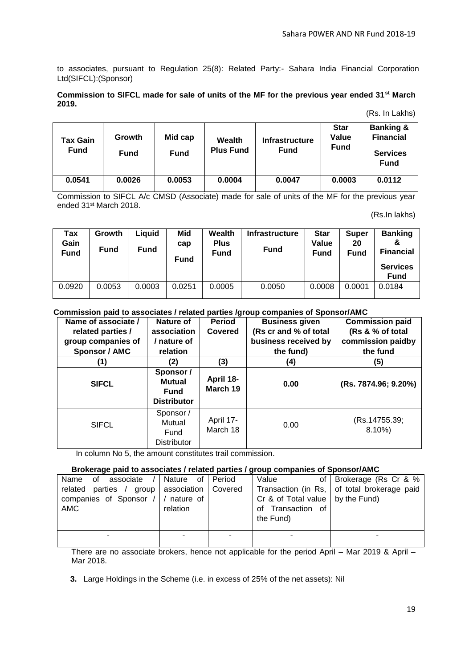to associates, pursuant to Regulation 25(8): Related Party:- Sahara India Financial Corporation Ltd(SIFCL):(Sponsor)

#### **Commission to SIFCL made for sale of units of the MF for the previous year ended 31st March 2019.**

#### (Rs. In Lakhs)

| <b>Tax Gain</b><br><b>Fund</b> | Growth<br><b>Fund</b> | Mid cap<br><b>Fund</b> | <b>Wealth</b><br><b>Plus Fund</b> | <b>Infrastructure</b><br><b>Fund</b> | <b>Star</b><br>Value<br><b>Fund</b> | <b>Banking &amp;</b><br><b>Financial</b><br><b>Services</b><br><b>Fund</b> |
|--------------------------------|-----------------------|------------------------|-----------------------------------|--------------------------------------|-------------------------------------|----------------------------------------------------------------------------|
| 0.0541                         | 0.0026                | 0.0053                 | 0.0004                            | 0.0047                               | 0.0003                              | 0.0112                                                                     |

Commission to SIFCL A/c CMSD (Associate) made for sale of units of the MF for the previous year ended 31st March 2018.

(Rs.In lakhs)

| Tax<br>Gain<br><b>Fund</b> | Growth<br><b>Fund</b> | Liauid<br><b>Fund</b> | Mid<br>cap<br><b>Fund</b> | <b>Wealth</b><br><b>Plus</b><br><b>Fund</b> | <b>Infrastructure</b><br><b>Fund</b> | <b>Star</b><br>Value<br><b>Fund</b> | <b>Super</b><br>20<br><b>Fund</b> | <b>Banking</b><br>୍ୟୁ<br><b>Financial</b><br><b>Services</b><br><b>Fund</b> |
|----------------------------|-----------------------|-----------------------|---------------------------|---------------------------------------------|--------------------------------------|-------------------------------------|-----------------------------------|-----------------------------------------------------------------------------|
| 0.0920                     | 0.0053                | 0.0003                | 0.0251                    | 0.0005                                      | 0.0050                               | 0.0008                              | 0.0001                            | 0.0184                                                                      |

#### **Commission paid to associates / related parties /group companies of Sponsor/AMC**

| Name of associate /  | Nature of                                                       | <b>Period</b>         | <b>Business given</b> | <b>Commission paid</b>    |
|----------------------|-----------------------------------------------------------------|-----------------------|-----------------------|---------------------------|
| related parties /    | association                                                     | <b>Covered</b>        | (Rs cr and % of total | (Rs & % of total          |
| group companies of   | nature of                                                       |                       | business received by  | commission paidby         |
| <b>Sponsor / AMC</b> | relation                                                        |                       | the fund)             | the fund                  |
| (1)                  | (2)                                                             | (3)                   | (4)                   | (5)                       |
| <b>SIFCL</b>         | Sponsor /<br><b>Mutual</b><br><b>Fund</b><br><b>Distributor</b> | April 18-<br>March 19 | 0.00                  | (Rs. 7874.96; 9.20%)      |
| <b>SIFCL</b>         | Sponsor /<br>Mutual<br>Fund<br><b>Distributor</b>               | April 17-<br>March 18 | 0.00                  | (Rs.14755.39;<br>$8.10\%$ |

In column No 5, the amount constitutes trail commission.

#### **Brokerage paid to associates / related parties / group companies of Sponsor/AMC**

| associate /<br>Name<br>of .                     | Nature of Period | Value                                | of Brokerage (Rs Cr & %                       |
|-------------------------------------------------|------------------|--------------------------------------|-----------------------------------------------|
| related parties / group   association   Covered |                  |                                      | Transaction (in Rs,   of total brokerage paid |
| companies of Sponsor /   / nature of            |                  | Cr & of Total value $ $ by the Fund) |                                               |
| AMC                                             | relation         | of Transaction of<br>the Fund)       |                                               |
|                                                 |                  |                                      |                                               |
|                                                 |                  |                                      |                                               |

There are no associate brokers, hence not applicable for the period April – Mar 2019 & April – Mar 2018.

 **3.** Large Holdings in the Scheme (i.e. in excess of 25% of the net assets): Nil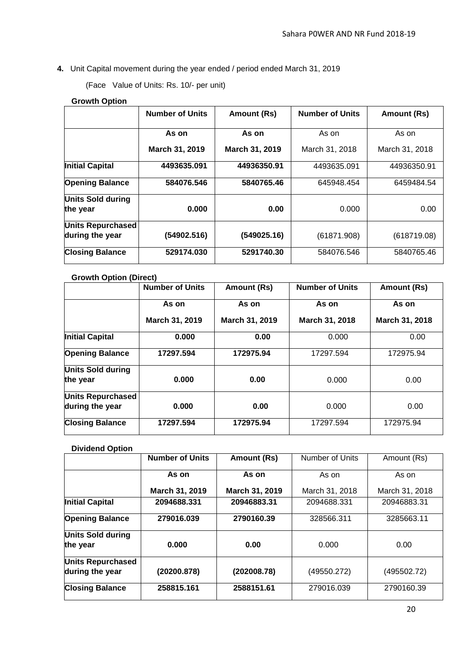**4.** Unit Capital movement during the year ended / period ended March 31, 2019

(Face Value of Units: Rs. 10/- per unit)

# **Growth Option**

|                                      | <b>Number of Units</b> | Amount (Rs)    | <b>Number of Units</b> | Amount (Rs)    |
|--------------------------------------|------------------------|----------------|------------------------|----------------|
|                                      | As on                  | As on          | As on                  | As on          |
|                                      | March 31, 2019         | March 31, 2019 | March 31, 2018         | March 31, 2018 |
| <b>Initial Capital</b>               | 4493635.091            | 44936350.91    | 4493635.091            | 44936350.91    |
| <b>Opening Balance</b>               | 584076.546             | 5840765.46     | 645948.454             | 6459484.54     |
| <b>Units Sold during</b><br>the year | 0.000                  | 0.00           | 0.000                  | 0.00           |
| Units Repurchased<br>during the year | (54902.516)            | (549025.16)    | (61871.908)            | (618719.08)    |
| <b>Closing Balance</b>               | 529174.030             | 5291740.30     | 584076.546             | 5840765.46     |

# **Growth Option (Direct)**

|                                      | <b>Number of Units</b> | Amount (Rs)    | <b>Number of Units</b> | Amount (Rs)    |
|--------------------------------------|------------------------|----------------|------------------------|----------------|
|                                      | As on                  | As on          | As on                  | As on          |
|                                      | March 31, 2019         | March 31, 2019 | March 31, 2018         | March 31, 2018 |
| <b>Initial Capital</b>               | 0.000                  | 0.00           | 0.000                  | 0.00           |
| <b>Opening Balance</b>               | 17297.594              | 172975.94      | 17297.594              | 172975.94      |
| <b>Units Sold during</b><br>the year | 0.000                  | 0.00           | 0.000                  | 0.00           |
| Units Repurchased<br>during the year | 0.000                  | 0.00           | 0.000                  | 0.00           |
| <b>Closing Balance</b>               | 17297.594              | 172975.94      | 17297.594              | 172975.94      |

# **Dividend Option**

|                                             | <b>Number of Units</b> | Amount (Rs)    | Number of Units | Amount (Rs)    |
|---------------------------------------------|------------------------|----------------|-----------------|----------------|
|                                             | As on                  | As on          | As on           | As on          |
|                                             | March 31, 2019         | March 31, 2019 | March 31, 2018  | March 31, 2018 |
| <b>Initial Capital</b>                      | 2094688.331            | 20946883.31    | 2094688.331     | 20946883.31    |
| <b>Opening Balance</b>                      | 279016.039             | 2790160.39     | 328566.311      | 3285663.11     |
| <b>Units Sold during</b><br>the year        | 0.000                  | 0.00           | 0.000           | 0.00           |
| <b>Units Repurchased</b><br>during the year | (20200.878)            | (202008.78)    | (49550.272)     | (495502.72)    |
| <b>Closing Balance</b>                      | 258815.161             | 2588151.61     | 279016.039      | 2790160.39     |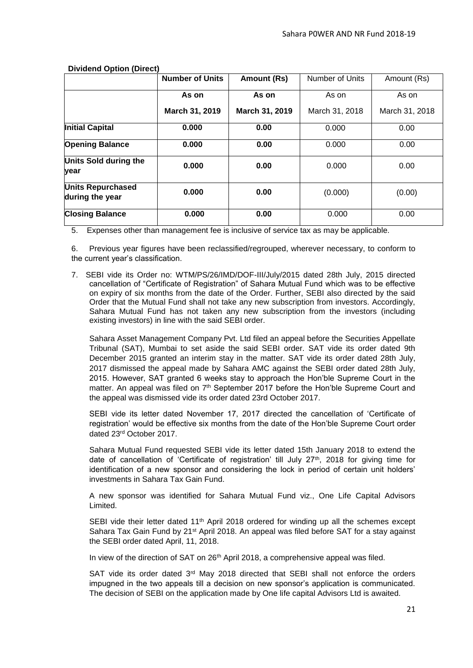|                                             | <b>Number of Units</b> | Amount (Rs)    | Number of Units | Amount (Rs)    |
|---------------------------------------------|------------------------|----------------|-----------------|----------------|
|                                             | As on                  | As on          | As on           | As on          |
|                                             | March 31, 2019         | March 31, 2019 | March 31, 2018  | March 31, 2018 |
| <b>Initial Capital</b>                      | 0.000                  | 0.00           | 0.000           | 0.00           |
| <b>Opening Balance</b>                      | 0.000                  | 0.00           | 0.000           | 0.00           |
| Units Sold during the<br>year               | 0.000                  | 0.00           | 0.000           | 0.00           |
| <b>Units Repurchased</b><br>during the year | 0.000                  | 0.00           | (0.000)         | (0.00)         |
| <b>Closing Balance</b>                      | 0.000                  | 0.00           | 0.000           | 0.00           |

 **Dividend Option (Direct)**

5. Expenses other than management fee is inclusive of service tax as may be applicable.

6. Previous year figures have been reclassified/regrouped, wherever necessary, to conform to the current year's classification.

7. SEBI vide its Order no: WTM/PS/26/IMD/DOF-III/July/2015 dated 28th July, 2015 directed cancellation of "Certificate of Registration" of Sahara Mutual Fund which was to be effective on expiry of six months from the date of the Order. Further, SEBI also directed by the said Order that the Mutual Fund shall not take any new subscription from investors. Accordingly, Sahara Mutual Fund has not taken any new subscription from the investors (including existing investors) in line with the said SEBI order.

Sahara Asset Management Company Pvt. Ltd filed an appeal before the Securities Appellate Tribunal (SAT), Mumbai to set aside the said SEBI order. SAT vide its order dated 9th December 2015 granted an interim stay in the matter. SAT vide its order dated 28th July, 2017 dismissed the appeal made by Sahara AMC against the SEBI order dated 28th July, 2015. However, SAT granted 6 weeks stay to approach the Hon'ble Supreme Court in the matter. An appeal was filed on  $7<sup>th</sup>$  September 2017 before the Hon'ble Supreme Court and the appeal was dismissed vide its order dated 23rd October 2017.

SEBI vide its letter dated November 17, 2017 directed the cancellation of 'Certificate of registration' would be effective six months from the date of the Hon'ble Supreme Court order dated 23rd October 2017.

Sahara Mutual Fund requested SEBI vide its letter dated 15th January 2018 to extend the date of cancellation of 'Certificate of registration' till July 27<sup>th</sup>, 2018 for giving time for identification of a new sponsor and considering the lock in period of certain unit holders' investments in Sahara Tax Gain Fund.

A new sponsor was identified for Sahara Mutual Fund viz., One Life Capital Advisors Limited.

SEBI vide their letter dated  $11<sup>th</sup>$  April 2018 ordered for winding up all the schemes except Sahara Tax Gain Fund by 21<sup>st</sup> April 2018. An appeal was filed before SAT for a stay against the SEBI order dated April, 11, 2018.

In view of the direction of SAT on 26<sup>th</sup> April 2018, a comprehensive appeal was filed.

SAT vide its order dated  $3<sup>rd</sup>$  May 2018 directed that SEBI shall not enforce the orders impugned in the two appeals till a decision on new sponsor's application is communicated. The decision of SEBI on the application made by One life capital Advisors Ltd is awaited.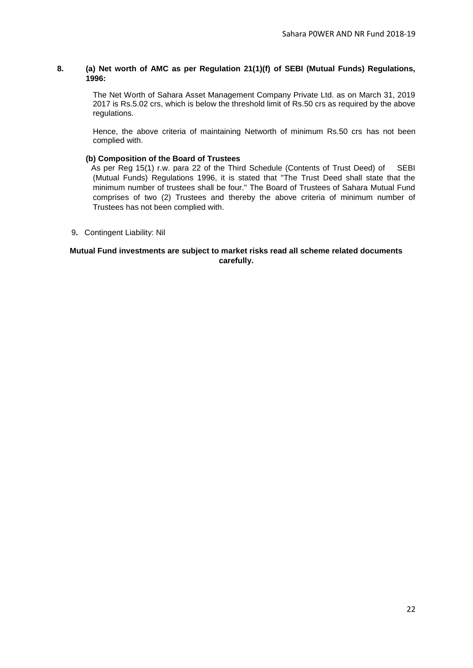# **8. (a) Net worth of AMC as per Regulation 21(1)(f) of SEBI (Mutual Funds) Regulations, 1996:**

The Net Worth of Sahara Asset Management Company Private Ltd. as on March 31, 2019 2017 is Rs.5.02 crs, which is below the threshold limit of Rs.50 crs as required by the above regulations.

Hence, the above criteria of maintaining Networth of minimum Rs.50 crs has not been complied with.

#### **(b) Composition of the Board of Trustees**

 As per Reg 15(1) r.w. para 22 of the Third Schedule (Contents of Trust Deed) of SEBI (Mutual Funds) Regulations 1996, it is stated that "The Trust Deed shall state that the minimum number of trustees shall be four." The Board of Trustees of Sahara Mutual Fund comprises of two (2) Trustees and thereby the above criteria of minimum number of Trustees has not been complied with.

9**.** Contingent Liability: Nil

#### **Mutual Fund investments are subject to market risks read all scheme related documents carefully.**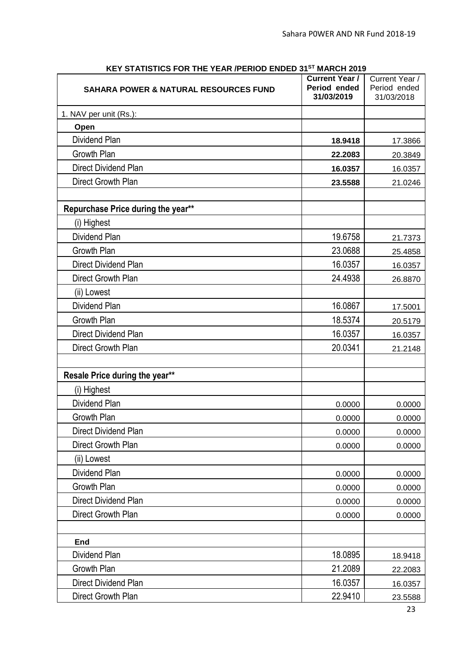| <b>STATIONO FOR THE TEAR AT ERIOD ENDED 3</b><br><b>SAHARA POWER &amp; NATURAL RESOURCES FUND</b> | <b>WANGH LUT</b><br><b>Current Year /</b><br>Period ended<br>31/03/2019 | Current Year /<br>Period ended<br>31/03/2018 |
|---------------------------------------------------------------------------------------------------|-------------------------------------------------------------------------|----------------------------------------------|
| 1. NAV per unit (Rs.):                                                                            |                                                                         |                                              |
| Open                                                                                              |                                                                         |                                              |
| <b>Dividend Plan</b>                                                                              | 18.9418                                                                 | 17.3866                                      |
| Growth Plan                                                                                       | 22.2083                                                                 | 20.3849                                      |
| Direct Dividend Plan                                                                              | 16.0357                                                                 | 16.0357                                      |
| Direct Growth Plan                                                                                | 23.5588                                                                 | 21.0246                                      |
|                                                                                                   |                                                                         |                                              |
| Repurchase Price during the year**                                                                |                                                                         |                                              |
| (i) Highest                                                                                       |                                                                         |                                              |
| <b>Dividend Plan</b>                                                                              | 19.6758                                                                 | 21.7373                                      |
| Growth Plan                                                                                       | 23.0688                                                                 | 25.4858                                      |
| Direct Dividend Plan                                                                              | 16.0357                                                                 | 16.0357                                      |
| Direct Growth Plan                                                                                | 24.4938                                                                 | 26.8870                                      |
| (ii) Lowest                                                                                       |                                                                         |                                              |
| Dividend Plan                                                                                     | 16.0867                                                                 | 17.5001                                      |
| Growth Plan                                                                                       | 18.5374                                                                 | 20.5179                                      |
| Direct Dividend Plan                                                                              | 16.0357                                                                 | 16.0357                                      |
| Direct Growth Plan                                                                                | 20.0341                                                                 | 21.2148                                      |
|                                                                                                   |                                                                         |                                              |
| Resale Price during the year**                                                                    |                                                                         |                                              |
| (i) Highest                                                                                       |                                                                         |                                              |
| Dividend Plan                                                                                     | 0.0000                                                                  | 0.0000                                       |
| Growth Plan                                                                                       | 0.0000                                                                  | 0.0000                                       |
| Direct Dividend Plan                                                                              | 0.0000                                                                  | 0.0000                                       |
| Direct Growth Plan                                                                                | 0.0000                                                                  | 0.0000                                       |
| (ii) Lowest                                                                                       |                                                                         |                                              |
| Dividend Plan                                                                                     | 0.0000                                                                  | 0.0000                                       |
| Growth Plan                                                                                       | 0.0000                                                                  | 0.0000                                       |
| Direct Dividend Plan                                                                              | 0.0000                                                                  | 0.0000                                       |
| Direct Growth Plan                                                                                | 0.0000                                                                  | 0.0000                                       |
|                                                                                                   |                                                                         |                                              |
| End                                                                                               |                                                                         |                                              |
| Dividend Plan                                                                                     | 18.0895                                                                 | 18.9418                                      |
| Growth Plan                                                                                       | 21.2089                                                                 | 22.2083                                      |
| Direct Dividend Plan                                                                              | 16.0357                                                                 | 16.0357                                      |
| Direct Growth Plan                                                                                | 22.9410                                                                 | 23.5588                                      |

# **KEY STATISTICS FOR THE YEAR /PERIOD ENDED 31ST MARCH 2019**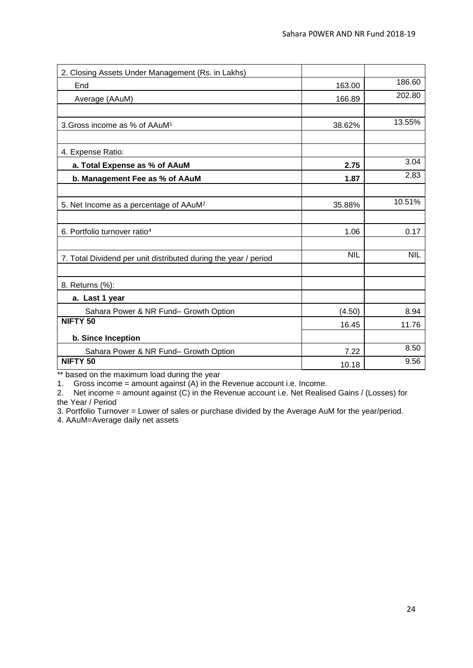| 2. Closing Assets Under Management (Rs. in Lakhs)               |            |            |
|-----------------------------------------------------------------|------------|------------|
| End                                                             | 163.00     | 186.60     |
| Average (AAuM)                                                  | 166.89     | 202.80     |
|                                                                 |            |            |
| 3. Gross income as % of AAuM <sup>1</sup>                       | 38.62%     | 13.55%     |
|                                                                 |            |            |
| 4. Expense Ratio:                                               |            |            |
| a. Total Expense as % of AAuM                                   | 2.75       | 3.04       |
| b. Management Fee as % of AAuM                                  | 1.87       | 2.83       |
|                                                                 |            |            |
| 5. Net Income as a percentage of AAuM <sup>2</sup>              | 35.88%     | 10.51%     |
|                                                                 |            |            |
| 6. Portfolio turnover ratio <sup>4</sup>                        | 1.06       | 0.17       |
|                                                                 |            |            |
| 7. Total Dividend per unit distributed during the year / period | <b>NIL</b> | <b>NIL</b> |
|                                                                 |            |            |
| 8. Returns (%):                                                 |            |            |
| a. Last 1 year                                                  |            |            |
| Sahara Power & NR Fund- Growth Option                           | (4.50)     | 8.94       |
| NIFTY <sub>50</sub>                                             | 16.45      | 11.76      |
| b. Since Inception                                              |            |            |
| Sahara Power & NR Fund- Growth Option                           | 7.22       | 8.50       |
| NIFTY <sub>50</sub>                                             | 10.18      | 9.56       |

\*\* based on the maximum load during the year

1. Gross income = amount against (A) in the Revenue account i.e. Income.

2. Net income = amount against (C) in the Revenue account i.e. Net Realised Gains / (Losses) for the Year / Period

3. Portfolio Turnover = Lower of sales or purchase divided by the Average AuM for the year/period.

4. AAuM=Average daily net assets